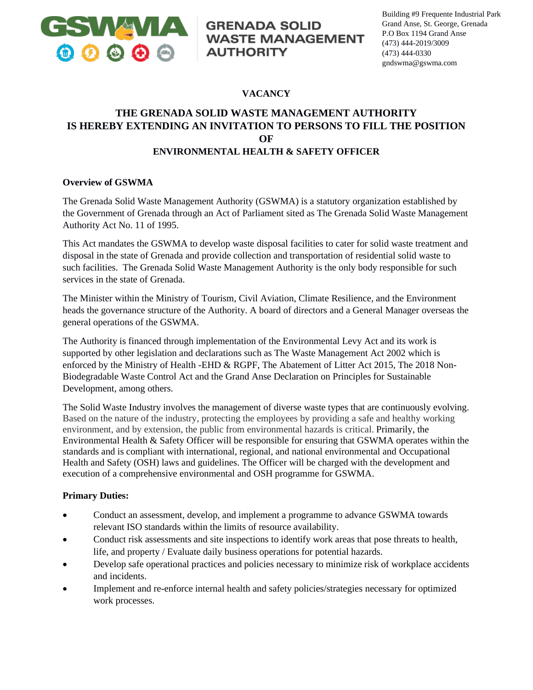

# **GRENADA SOLID WASTE MANAGEMENT AUTHORITY**

### **VACANCY**

## **THE GRENADA SOLID WASTE MANAGEMENT AUTHORITY IS HEREBY EXTENDING AN INVITATION TO PERSONS TO FILL THE POSITION OF ENVIRONMENTAL HEALTH & SAFETY OFFICER**

#### **Overview of GSWMA**

The Grenada Solid Waste Management Authority (GSWMA) is a statutory organization established by the Government of Grenada through an Act of Parliament sited as The Grenada Solid Waste Management Authority Act No. 11 of 1995.

This Act mandates the GSWMA to develop waste disposal facilities to cater for solid waste treatment and disposal in the state of Grenada and provide collection and transportation of residential solid waste to such facilities. The Grenada Solid Waste Management Authority is the only body responsible for such services in the state of Grenada.

The Minister within the Ministry of Tourism, Civil Aviation, Climate Resilience, and the Environment heads the governance structure of the Authority. A board of directors and a General Manager overseas the general operations of the GSWMA.

The Authority is financed through implementation of the Environmental Levy Act and its work is supported by other legislation and declarations such as The Waste Management Act 2002 which is enforced by the Ministry of Health -EHD & RGPF, The Abatement of Litter Act 2015, The 2018 Non-Biodegradable Waste Control Act and the Grand Anse Declaration on Principles for Sustainable Development, among others.

The Solid Waste Industry involves the management of diverse waste types that are continuously evolving. Based on the nature of the industry, protecting the employees by providing a safe and healthy working environment, and by extension, the public from environmental hazards is critical. Primarily, the Environmental Health & Safety Officer will be responsible for ensuring that GSWMA operates within the standards and is compliant with international, regional, and national environmental and Occupational Health and Safety (OSH) laws and guidelines. The Officer will be charged with the development and execution of a comprehensive environmental and OSH programme for GSWMA.

#### **Primary Duties:**

- Conduct an assessment, develop, and implement a programme to advance GSWMA towards relevant ISO standards within the limits of resource availability.
- Conduct risk assessments and site inspections to identify work areas that pose threats to health, life, and property / Evaluate daily business operations for potential hazards.
- Develop safe operational practices and policies necessary to minimize risk of workplace accidents and incidents.
- Implement and re-enforce internal health and safety policies/strategies necessary for optimized work processes.